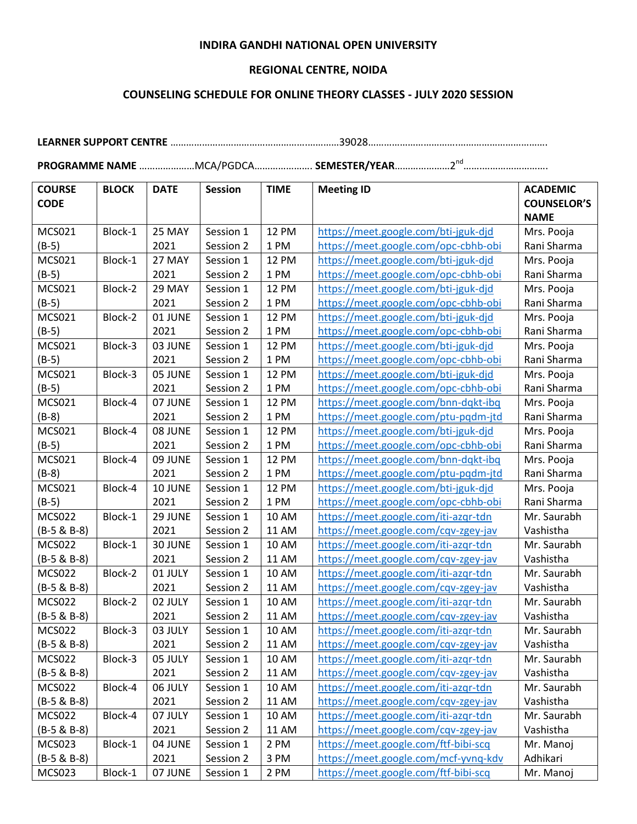## **INDIRA GANDHI NATIONAL OPEN UNIVERSITY**

## **REGIONAL CENTRE, NOIDA**

## **COUNSELING SCHEDULE FOR ONLINE THEORY CLASSES - JULY 2020 SESSION**

**LEARNER SUPPORT CENTRE** …………………………………………….…………39028…………………………….…………………………….

**PROGRAMME NAME** …………………MCA/PGDCA…………………. **SEMESTER/YEAR**…………………2nd…….…………………….

| <b>COURSE</b> | <b>BLOCK</b> | <b>DATE</b> | <b>Session</b> | <b>TIME</b>  | <b>Meeting ID</b>                    | <b>ACADEMIC</b>    |
|---------------|--------------|-------------|----------------|--------------|--------------------------------------|--------------------|
| <b>CODE</b>   |              |             |                |              |                                      | <b>COUNSELOR'S</b> |
|               |              |             |                |              |                                      | <b>NAME</b>        |
| <b>MCS021</b> | Block-1      | 25 MAY      | Session 1      | <b>12 PM</b> | https://meet.google.com/bti-jguk-djd | Mrs. Pooja         |
| $(B-5)$       |              | 2021        | Session 2      | 1 PM         | https://meet.google.com/opc-cbhb-obi | Rani Sharma        |
| MCS021        | Block-1      | 27 MAY      | Session 1      | <b>12 PM</b> | https://meet.google.com/bti-jguk-djd | Mrs. Pooja         |
| $(B-5)$       |              | 2021        | Session 2      | 1 PM         | https://meet.google.com/opc-cbhb-obi | Rani Sharma        |
| MCS021        | Block-2      | 29 MAY      | Session 1      | <b>12 PM</b> | https://meet.google.com/bti-jguk-djd | Mrs. Pooja         |
| $(B-5)$       |              | 2021        | Session 2      | 1 PM         | https://meet.google.com/opc-cbhb-obi | Rani Sharma        |
| MCS021        | Block-2      | 01 JUNE     | Session 1      | <b>12 PM</b> | https://meet.google.com/bti-jguk-djd | Mrs. Pooja         |
| $(B-5)$       |              | 2021        | Session 2      | 1 PM         | https://meet.google.com/opc-cbhb-obi | Rani Sharma        |
| MCS021        | Block-3      | 03 JUNE     | Session 1      | <b>12 PM</b> | https://meet.google.com/bti-jguk-djd | Mrs. Pooja         |
| $(B-5)$       |              | 2021        | Session 2      | 1 PM         | https://meet.google.com/opc-cbhb-obi | Rani Sharma        |
| MCS021        | Block-3      | 05 JUNE     | Session 1      | <b>12 PM</b> | https://meet.google.com/bti-jguk-djd | Mrs. Pooja         |
| $(B-5)$       |              | 2021        | Session 2      | 1 PM         | https://meet.google.com/opc-cbhb-obi | Rani Sharma        |
| MCS021        | Block-4      | 07 JUNE     | Session 1      | <b>12 PM</b> | https://meet.google.com/bnn-dqkt-ibq | Mrs. Pooja         |
| $(B-8)$       |              | 2021        | Session 2      | 1 PM         | https://meet.google.com/ptu-pqdm-jtd | Rani Sharma        |
| MCS021        | Block-4      | 08 JUNE     | Session 1      | <b>12 PM</b> | https://meet.google.com/bti-jguk-djd | Mrs. Pooja         |
| $(B-5)$       |              | 2021        | Session 2      | 1 PM         | https://meet.google.com/opc-cbhb-obi | Rani Sharma        |
| MCS021        | Block-4      | 09 JUNE     | Session 1      | <b>12 PM</b> | https://meet.google.com/bnn-dqkt-ibq | Mrs. Pooja         |
| $(B-8)$       |              | 2021        | Session 2      | 1 PM         | https://meet.google.com/ptu-pqdm-jtd | Rani Sharma        |
| MCS021        | Block-4      | 10 JUNE     | Session 1      | <b>12 PM</b> | https://meet.google.com/bti-jguk-djd | Mrs. Pooja         |
| $(B-5)$       |              | 2021        | Session 2      | 1 PM         | https://meet.google.com/opc-cbhb-obi | Rani Sharma        |
| <b>MCS022</b> | Block-1      | 29 JUNE     | Session 1      | <b>10 AM</b> | https://meet.google.com/iti-azqr-tdn | Mr. Saurabh        |
| $(B-5 & B-8)$ |              | 2021        | Session 2      | <b>11 AM</b> | https://meet.google.com/cqv-zgey-jav | Vashistha          |
| <b>MCS022</b> | Block-1      | 30 JUNE     | Session 1      | <b>10 AM</b> | https://meet.google.com/iti-azqr-tdn | Mr. Saurabh        |
| $(B-5 & B-8)$ |              | 2021        | Session 2      | <b>11 AM</b> | https://meet.google.com/cqv-zgey-jav | Vashistha          |
| <b>MCS022</b> | Block-2      | 01 JULY     | Session 1      | <b>10 AM</b> | https://meet.google.com/iti-azqr-tdn | Mr. Saurabh        |
| $(B-5 & B-8)$ |              | 2021        | Session 2      | <b>11 AM</b> | https://meet.google.com/cqv-zgey-jav | Vashistha          |
| <b>MCS022</b> | Block-2      | 02 JULY     | Session 1      | <b>10 AM</b> | https://meet.google.com/iti-azqr-tdn | Mr. Saurabh        |
| $(B-5 & B-8)$ |              | 2021        | Session 2      | <b>11 AM</b> | https://meet.google.com/cqv-zgey-jav | Vashistha          |
| <b>MCS022</b> | Block-3      | 03 JULY     | Session 1      | 10 AM        | https://meet.google.com/iti-azqr-tdn | Mr. Saurabh        |
| $(B-5 & B-8)$ |              | 2021        | Session 2      | <b>11 AM</b> | https://meet.google.com/cqv-zgey-jav | Vashistha          |
| <b>MCS022</b> | Block-3      | 05 JULY     | Session 1      | 10 AM        | https://meet.google.com/iti-azqr-tdn | Mr. Saurabh        |
| $(B-5 & B-8)$ |              | 2021        | Session 2      | <b>11 AM</b> | https://meet.google.com/cqv-zgey-jav | Vashistha          |
| <b>MCS022</b> | Block-4      | 06 JULY     | Session 1      | 10 AM        | https://meet.google.com/iti-azqr-tdn | Mr. Saurabh        |
| $(B-5 & B-8)$ |              | 2021        | Session 2      | <b>11 AM</b> | https://meet.google.com/cqv-zgey-jav | Vashistha          |
| <b>MCS022</b> | Block-4      | 07 JULY     | Session 1      | 10 AM        | https://meet.google.com/iti-azqr-tdn | Mr. Saurabh        |
| $(B-5 & B-8)$ |              | 2021        | Session 2      | 11 AM        | https://meet.google.com/cqv-zgey-jav | Vashistha          |
| <b>MCS023</b> | Block-1      | 04 JUNE     | Session 1      | 2 PM         | https://meet.google.com/ftf-bibi-scq | Mr. Manoj          |
| $(B-5 & B-8)$ |              | 2021        | Session 2      | 3 PM         | https://meet.google.com/mcf-yvnq-kdv | Adhikari           |
| <b>MCS023</b> | Block-1      | 07 JUNE     | Session 1      | 2 PM         | https://meet.google.com/ftf-bibi-scq | Mr. Manoj          |